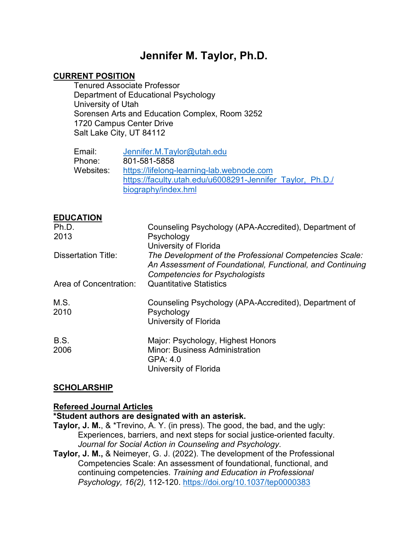# **Jennifer M. Taylor, Ph.D.**

#### **CURRENT POSITION**

Tenured Associate Professor Department of Educational Psychology University of Utah Sorensen Arts and Education Complex, Room 3252 1720 Campus Center Drive Salt Lake City, UT 84112

| Email:    | Jennifer.M.Taylor@utah.edu                                |
|-----------|-----------------------------------------------------------|
| Phone:    | 801-581-5858                                              |
| Websites: | https://lifelong-learning-lab.webnode.com                 |
|           | https://faculty.utah.edu/u6008291-Jennifer Taylor, Ph.D./ |
|           | biography/index.hml                                       |

#### **EDUCATION**

| Ph.D.                      | Counseling Psychology (APA-Accredited), Department of                                                                                                         |
|----------------------------|---------------------------------------------------------------------------------------------------------------------------------------------------------------|
| 2013                       | Psychology                                                                                                                                                    |
|                            | University of Florida                                                                                                                                         |
| <b>Dissertation Title:</b> | The Development of the Professional Competencies Scale:<br>An Assessment of Foundational, Functional, and Continuing<br><b>Competencies for Psychologists</b> |
| Area of Concentration:     | <b>Quantitative Statistics</b>                                                                                                                                |
| M.S.<br>2010               | Counseling Psychology (APA-Accredited), Department of<br>Psychology<br>University of Florida                                                                  |
| B.S.<br>2006               | Major: Psychology, Highest Honors<br><b>Minor: Business Administration</b><br>GPA: 4.0<br>University of Florida                                               |

#### **SCHOLARSHIP**

#### **Refereed Journal Articles**

#### **\*Student authors are designated with an asterisk.**

- **Taylor, J. M.**, & \*Trevino, A. Y. (in press). The good, the bad, and the ugly: Experiences, barriers, and next steps for social justice-oriented faculty. *Journal for Social Action in Counseling and Psychology*.
- **Taylor, J. M.,** & Neimeyer, G. J. (2022). The development of the Professional Competencies Scale: An assessment of foundational, functional, and continuing competencies. *Training and Education in Professional Psychology, 16(2),* 112-120. [https://doi.org/10.1037/tep0000383](https://psycnet.apa.org/doi/10.1037/tep0000383)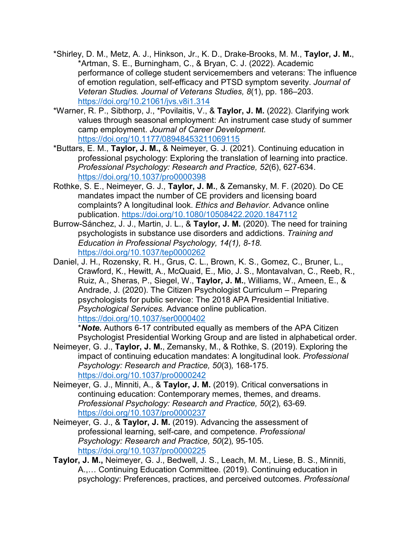- \*Shirley, D. M., Metz, A. J., Hinkson, Jr., K. D., Drake-Brooks, M. M., **Taylor, J. M.**, \*Artman, S. E., Burningham, C., & Bryan, C. J. (2022). Academic performance of college student servicemembers and veterans: The influence of emotion regulation, self-efficacy and PTSD symptom severity. *Journal of Veteran Studies. Journal of Veterans Studies, 8*(1), pp. 186–203. <https://doi.org/10.21061/jvs.v8i1.314>
- \*Warner, R. P., Sibthorp, J., \*Povilaitis, V., & **Taylor, J. M.** (2022). Clarifying work values through seasonal employment: An instrument case study of summer camp employment. *Journal of Career Development.* <https://doi.org/10.1177/08948453211069115>
- \*Buttars, E. M., **Taylor, J. M.,** & Neimeyer, G. J. (2021). Continuing education in professional psychology: Exploring the translation of learning into practice. *Professional Psychology: Research and Practice, 52*(6), 627-634. <https://doi.org/10.1037/pro0000398>
- Rothke, S. E., Neimeyer, G. J., **Taylor, J. M.**, & Zemansky, M. F. (2020)*.* Do CE mandates impact the number of CE providers and licensing board complaints? A longitudinal look. *Ethics and Behavior*. Advance online publication.<https://doi.org/10.1080/10508422.2020.1847112>
- Burrow-Sánchez, J. J., Martin, J. L., & **Taylor, J. M.** (2020). The need for training psychologists in substance use disorders and addictions. *Training and Education in Professional Psychology, 14(1), 8-18.*  <https://doi.org/10.1037/tep0000262>
- Daniel, J. H., Rozensky, R. H., Grus, C. L., Brown, K. S., Gomez, C., Bruner, L., Crawford, K., Hewitt, A., McQuaid, E., Mio, J. S., Montavalvan, C., Reeb, R., Ruiz, A., Sheras, P., Siegel, W., **Taylor, J. M.**, Williams, W., Ameen, E., & Andrade, J. (2020). The Citizen Psychologist Curriculum – Preparing psychologists for public service: The 2018 APA Presidential Initiative. *Psychological Services.* Advance online publication. <https://doi.org/10.1037/ser0000402>

\**Note***.** Authors 6-17 contributed equally as members of the APA Citizen Psychologist Presidential Working Group and are listed in alphabetical order.

- Neimeyer, G. J., **Taylor, J. M.**, Zemansky, M., & Rothke, S. (2019). Exploring the impact of continuing education mandates: A longitudinal look. *Professional Psychology: Research and Practice, 50*(3)*,* 168-175. <https://doi.org/10.1037/pro0000242>
- Neimeyer, G. J., Minniti, A., & **Taylor, J. M.** (2019). Critical conversations in continuing education: Contemporary memes, themes, and dreams. *Professional Psychology: Research and Practice, 50*(2)*,* 63-69*.* <https://doi.org/10.1037/pro0000237>
- Neimeyer, G. J., & **Taylor, J. M.** (2019). Advancing the assessment of professional learning, self-care, and competence. *Professional Psychology: Research and Practice, 50*(2)*,* 95-105*.* <https://doi.org/10.1037/pro0000225>
- **Taylor, J. M.,** Neimeyer, G. J., Bedwell, J. S., Leach, M. M., Liese, B. S., Minniti, A.,… Continuing Education Committee. (2019). Continuing education in psychology: Preferences, practices, and perceived outcomes. *Professional*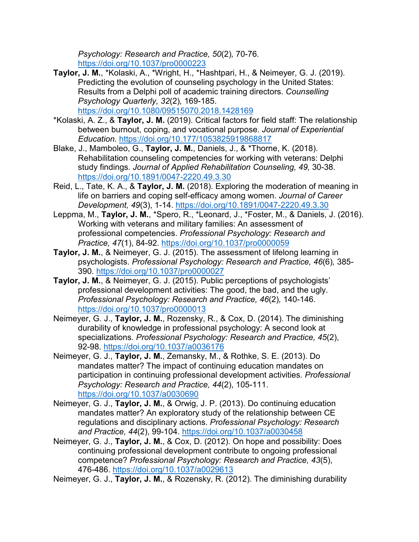*Psychology: Research and Practice, 50*(2)*,* 70-76*.* <https://doi.org/10.1037/pro0000223>

- **Taylor, J. M.**, \*Kolaski, A., \*Wright, H., \*Hashtpari, H., & Neimeyer, G. J. (2019). Predicting the evolution of counseling psychology in the United States: Results from a Delphi poll of academic training directors. *Counselling Psychology Quarterly, 32*(2)*,* 169-185. <https://doi.org/10.1080/09515070.2018.1428169>
- \*Kolaski, A. Z., & **Taylor, J. M.** (2019). Critical factors for field staff: The relationship between burnout, coping, and vocational purpose. *Journal of Experiential Education.* <https://doi.org/10.177/1053825919868817>
- Blake, J., Mamboleo, G., **Taylor, J. M.**, Daniels, J., & \*Thorne, K. (2018). Rehabilitation counseling competencies for working with veterans: Delphi study findings*. Journal of Applied Rehabilitation Counseling, 49,* 30-38. <https://doi.org/10.1891/0047-2220.49.3.30>
- Reid, L., Tate, K. A., & **Taylor, J. M.** (2018). Exploring the moderation of meaning in life on barriers and coping self-efficacy among women. *Journal of Career Development, 49*(3), 1-14. <https://doi.org/10.1891/0047-2220.49.3.30>
- Leppma, M., **Taylor, J. M.**, \*Spero, R., \*Leonard, J., \*Foster, M., & Daniels, J. (2016). Working with veterans and military families: An assessment of professional competencies. *Professional Psychology: Research and Practice, 47*(1), 84-92. <https://doi.org/10.1037/pro0000059>
- **Taylor, J. M.**, & Neimeyer, G. J. (2015). The assessment of lifelong learning in psychologists. *Professional Psychology: Research and Practice, 46*(6)*,* 385- 390*.* <https://doi.org/10.1037/pro0000027>
- **Taylor, J. M.**, & Neimeyer, G. J. (2015). Public perceptions of psychologists' professional development activities: The good, the bad, and the ugly. *Professional Psychology: Research and Practice, 46*(2)*,* 140-146. <https://doi.org/10.1037/pro0000013>
- Neimeyer, G. J., **Taylor, J. M.**, Rozensky, R., & Cox, D. (2014). The diminishing durability of knowledge in professional psychology: A second look at specializations. *Professional Psychology: Research and Practice, 45*(2), 92-98. <https://doi.org/10.1037/a0036176>
- Neimeyer, G. J., **Taylor, J. M.**, Zemansky, M., & Rothke, S. E. (2013). Do mandates matter? The impact of continuing education mandates on participation in continuing professional development activities. *Professional Psychology: Research and Practice, 44*(2), 105-111. <https://doi.org/10.1037/a0030690>
- Neimeyer, G. J., **Taylor, J. M.**, & Orwig, J. P. (2013). Do continuing education mandates matter? An exploratory study of the relationship between CE regulations and disciplinary actions. *Professional Psychology: Research and Practice, 44*(2), 99-104. <https://doi.org/10.1037/a0030458>
- Neimeyer, G. J., **Taylor, J. M.**, & Cox, D. (2012). On hope and possibility: Does continuing professional development contribute to ongoing professional competence? *Professional Psychology: Research and Practice, 43*(5), 476-486. <https://doi.org/10.1037/a0029613>

Neimeyer, G. J., **Taylor, J. M.**, & Rozensky, R. (2012). The diminishing durability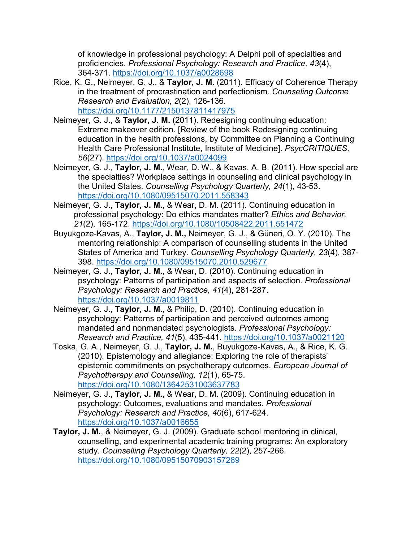of knowledge in professional psychology: A Delphi poll of specialties and proficiencies. *Professional Psychology: Research and Practice, 43*(4), 364-371. <https://doi.org/10.1037/a0028698>

- Rice, K. G., Neimeyer, G. J., & **Taylor, J. M.** (2011). Efficacy of Coherence Therapy in the treatment of procrastination and perfectionism. *Counseling Outcome Research and Evaluation, 2*(2), 126-136. <https://doi.org/10.1177/2150137811417975>
- Neimeyer, G. J., & **Taylor, J. M.** (2011). Redesigning continuing education: Extreme makeover edition. [Review of the book Redesigning continuing education in the health professions, by Committee on Planning a Continuing Health Care Professional Institute, Institute of Medicine]. *PsycCRITIQUES, 56*(27).<https://doi.org/10.1037/a0024099>
- Neimeyer, G. J., **Taylor, J. M.**, Wear, D. W., & Kavas, A. B. (2011). How special are the specialties? Workplace settings in counseling and clinical psychology in the United States. *Counselling Psychology Quarterly, 24*(1), 43-53. <https://doi.org/10.1080/09515070.2011.558343>
- Neimeyer, G. J., **Taylor, J. M.**, & Wear, D. M. (2011). Continuing education in professional psychology: Do ethics mandates matter? *Ethics and Behavior, 21*(2), 165-172. <https://doi.org/10.1080/10508422.2011.551472>
- Buyukgoze-Kavas, A., **Taylor, J. M.,** Neimeyer, G. J., & Güneri, O. Y. (2010). The mentoring relationship: A comparison of counselling students in the United States of America and Turkey. *Counselling Psychology Quarterly, 23*(4), 387- 398. <https://doi.org/10.1080/09515070.2010.529677>
- Neimeyer, G. J., **Taylor, J. M.**, & Wear, D. (2010). Continuing education in psychology: Patterns of participation and aspects of selection. *Professional Psychology: Research and Practice, 41*(4), 281-287. <https://doi.org/10.1037/a0019811>
- Neimeyer, G. J., **Taylor, J. M.**, & Philip, D. (2010). Continuing education in psychology: Patterns of participation and perceived outcomes among mandated and nonmandated psychologists. *Professional Psychology: Research and Practice, 41*(5), 435-441. <https://doi.org/10.1037/a0021120>
- Toska, G. A., Neimeyer, G. J., **Taylor, J. M.**, Buyukgoze-Kavas, A., & Rice, K. G. (2010). Epistemology and allegiance: Exploring the role of therapists' epistemic commitments on psychotherapy outcomes. *European Journal of Psychotherapy and Counselling, 12*(1), 65-75. <https://doi.org/10.1080/13642531003637783>
- Neimeyer, G. J., **Taylor, J. M.**, & Wear, D. M. (2009). Continuing education in psychology: Outcomes, evaluations and mandates. *Professional Psychology: Research and Practice, 40*(6), 617-624. <https://doi.org/10.1037/a0016655>
- **Taylor, J. M.**, & Neimeyer, G. J. (2009). Graduate school mentoring in clinical, counselling, and experimental academic training programs: An exploratory study. *Counselling Psychology Quarterly, 22*(2), 257-266. <https://doi.org/10.1080/09515070903157289>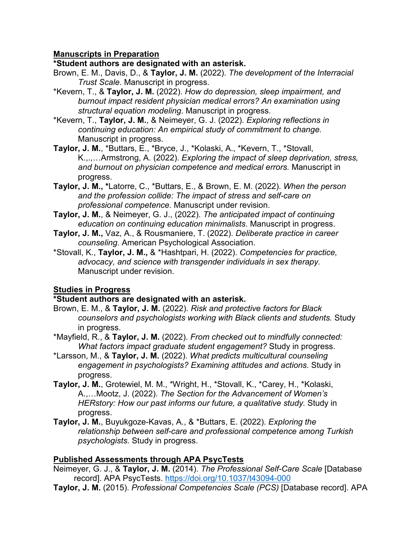## **Manuscripts in Preparation**

#### **\*Student authors are designated with an asterisk.**

- Brown, E. M., Davis, D., & **Taylor, J. M.** (2022). *The development of the Interracial Trust Scale.* Manuscript in progress.
- \*Kevern, T., & **Taylor, J. M.** (2022). *How do depression, sleep impairment, and burnout impact resident physician medical errors? An examination using structural equation modeling*. Manuscript in progress.
- \*Kevern, T., **Taylor, J. M.**, & Neimeyer, G. J. (2022). *Exploring reflections in continuing education: An empirical study of commitment to change.*  Manuscript in progress.
- **Taylor, J. M.**, \*Buttars, E., \*Bryce, J., \*Kolaski, A., \*Kevern, T., \*Stovall, K.,.,…Armstrong, A. (2022). *Exploring the impact of sleep deprivation, stress, and burnout on physician competence and medical errors.* Manuscript in progress.
- **Taylor, J. M., \***Latorre, C., \*Buttars, E., & Brown, E. M. (2022). *When the person and the profession collide: The impact of stress and self-care on professional competence.* Manuscript under revision.
- **Taylor, J. M.**, & Neimeyer, G. J., (2022). *The anticipated impact of continuing education on continuing education minimalists*. Manuscript in progress.
- **Taylor, J. M.,** Vaz, A., & Rousmaniere, T. (2022). *Deliberate practice in career counseling*. American Psychological Association.
- \*Stovall, K., **Taylor, J. M.,** & \*Hashtpari, H. (2022). *Competencies for practice, advocacy, and science with transgender individuals in sex therapy.*  Manuscript under revision.

## **Studies in Progress**

## **\*Student authors are designated with an asterisk.**

- Brown, E. M., & **Taylor, J. M.** (2022). *Risk and protective factors for Black counselors and psychologists working with Black clients and students.* Study in progress.
- \*Mayfield, R., & **Taylor, J. M.** (2022). *From checked out to mindfully connected: What factors impact graduate student engagement?* Study in progress.
- \*Larsson, M., & **Taylor, J. M.** (2022). *What predicts multicultural counseling engagement in psychologists? Examining attitudes and actions.* Study in progress.
- **Taylor, J. M.**, Grotewiel, M. M., \*Wright, H., \*Stovall, K., \*Carey, H., \*Kolaski, A.,…Mootz, J. (2022). *The Section for the Advancement of Women's HERstory: How our past informs our future, a qualitative study.* Study in progress.
- **Taylor, J. M.**, Buyukgoze-Kavas, A., & \*Buttars, E. (2022). *Exploring the relationship between self-care and professional competence among Turkish psychologists.* Study in progress.

## **Published Assessments through APA PsycTests**

- Neimeyer, G. J., & **Taylor, J. M.** (2014). *The Professional Self-Care Scale* [Database record]. APA PsycTests.<https://doi.org/10.1037/t43094-000>
- **Taylor, J. M.** (2015). *Professional Competencies Scale (PCS)* [Database record]. APA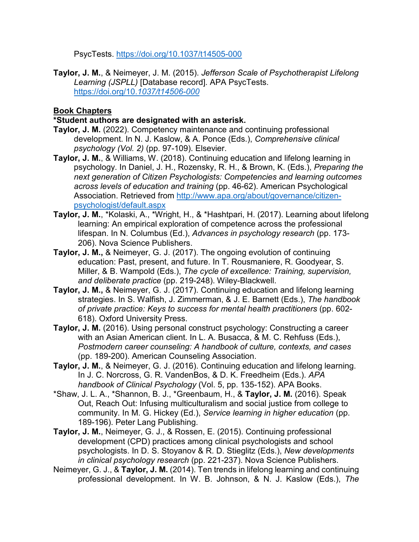PsycTests.<https://doi.org/10.1037/t14505-000>

**Taylor, J. M.**, & Neimeyer, J. M. (2015). *Jefferson Scale of Psychotherapist Lifelong Learning (JSPLL)* [Database record]. APA PsycTests. [https://doi.org/10.](https://doi.org/10.1037/t14506-000)*1037/t14506-000*

## **Book Chapters**

## **\*Student authors are designated with an asterisk.**

- **Taylor, J. M.** (2022). Competency maintenance and continuing professional development. In N. J. Kaslow, & A. Ponce (Eds.), *Comprehensive clinical psychology (Vol. 2)* (pp. 97-109). Elsevier.
- **Taylor, J. M.**, & Williams, W. (2018). Continuing education and lifelong learning in psychology. In Daniel, J. H., Rozensky, R. H., & Brown, K. (Eds.), *Preparing the next generation of Citizen Psychologists: Competencies and learning outcomes across levels of education and training* (pp. 46-62). American Psychological Association. Retrieved from [http://www.apa.org/about/governance/citizen](http://www.apa.org/about/governance/citizen-psychologist/default.aspx)[psychologist/default.aspx](http://www.apa.org/about/governance/citizen-psychologist/default.aspx)
- **Taylor, J. M.**, \*Kolaski, A., \*Wright, H., & \*Hashtpari, H. (2017). Learning about lifelong learning: An empirical exploration of competence across the professional lifespan. In N. Columbus (Ed.), *Advances in psychology research* (pp. 173- 206). Nova Science Publishers.
- **Taylor, J. M.,** & Neimeyer, G. J. (2017). The ongoing evolution of continuing education: Past, present, and future. In T. Rousmaniere, R. Goodyear, S. Miller, & B. Wampold (Eds.), *The cycle of excellence: Training, supervision, and deliberate practice* (pp. 219-248). Wiley-Blackwell.
- **Taylor, J. M.,** & Neimeyer, G. J. (2017). Continuing education and lifelong learning strategies. In S. Walfish, J. Zimmerman, & J. E. Barnett (Eds.), *The handbook of private practice: Keys to success for mental health practitioners* (pp. 602- 618). Oxford University Press.
- **Taylor, J. M.** (2016). Using personal construct psychology: Constructing a career with an Asian American client. In L. A. Busacca, & M. C. Rehfuss (Eds.), *Postmodern career counseling: A handbook of culture, contexts, and cases*  (pp. 189-200). American Counseling Association.
- **Taylor, J. M.**, & Neimeyer, G. J. (2016). Continuing education and lifelong learning. In J. C. Norcross, G. R. VandenBos, & D. K. Freedheim (Eds.). *APA handbook of Clinical Psychology* (Vol. 5, pp. 135-152). APA Books.
- \*Shaw, J. L. A., \*Shannon, B. J., \*Greenbaum, H., & **Taylor, J. M.** (2016). Speak Out, Reach Out: Infusing multiculturalism and social justice from college to community. In M. G. Hickey (Ed.), *Service learning in higher education* (pp. 189-196). Peter Lang Publishing.
- **Taylor, J. M.**, Neimeyer, G. J., & Rossen, E. (2015). Continuing professional development (CPD) practices among clinical psychologists and school psychologists. In D. S. Stoyanov & R. D. Stieglitz (Eds.), *New developments in clinical psychology research* (pp. 221-237). Nova Science Publishers.
- Neimeyer, G. J., & **Taylor, J. M.** (2014). Ten trends in lifelong learning and continuing professional development. In W. B. Johnson, & N. J. Kaslow (Eds.), *The*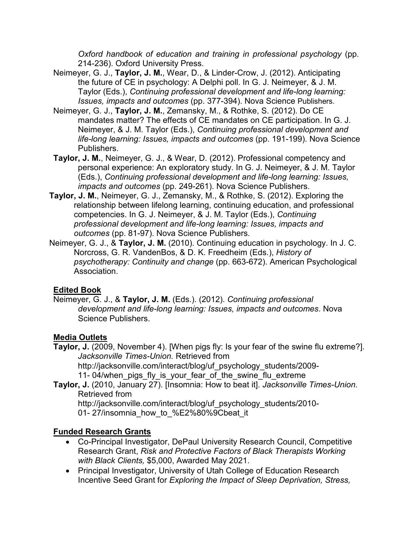*Oxford handbook of education and training in professional psychology* (pp. 214-236). Oxford University Press.

- Neimeyer, G. J., **Taylor, J. M.**, Wear, D., & Linder-Crow, J. (2012). Anticipating the future of CE in psychology: A Delphi poll. In G. J. Neimeyer, & J. M. Taylor (Eds.), *Continuing professional development and life-long learning: Issues, impacts and outcomes* (pp. 377-394). Nova Science Publishers.
- Neimeyer, G. J., **Taylor, J. M.**, Zemansky, M., & Rothke, S. (2012). Do CE mandates matter? The effects of CE mandates on CE participation. In G. J. Neimeyer, & J. M. Taylor (Eds.), *Continuing professional development and life-long learning: Issues, impacts and outcomes* (pp. 191-199). Nova Science Publishers.
- **Taylor, J. M.**, Neimeyer, G. J., & Wear, D. (2012). Professional competency and personal experience: An exploratory study. In G. J. Neimeyer, & J. M. Taylor (Eds.), *Continuing professional development and life-long learning: Issues, impacts and outcomes* (pp. 249-261). Nova Science Publishers.
- **Taylor, J. M.**, Neimeyer, G. J., Zemansky, M., & Rothke, S. (2012). Exploring the relationship between lifelong learning, continuing education, and professional competencies. In G. J. Neimeyer, & J. M. Taylor (Eds.), *Continuing professional development and life-long learning: Issues, impacts and outcomes* (pp. 81-97). Nova Science Publishers.
- Neimeyer, G. J., & **Taylor, J. M.** (2010). Continuing education in psychology. In J. C. Norcross, G. R. VandenBos, & D. K. Freedheim (Eds.), *History of psychotherapy: Continuity and change* (pp. 663-672). American Psychological Association.

## **Edited Book**

Neimeyer, G. J., & **Taylor, J. M.** (Eds.). (2012). *Continuing professional development and life-long learning: Issues, impacts and outcomes*. Nova Science Publishers.

# **Media Outlets**

**Taylor, J.** (2009, November 4). [When pigs fly: Is your fear of the swine flu extreme?]. *Jacksonville Times-Union.* Retrieved from [http://jacksonville.com/interact/blog/uf\\_psychology\\_students/2009-](http://jacksonville.com/interact/blog/uf_psychology_students/2009-11-)

- [11-](http://jacksonville.com/interact/blog/uf_psychology_students/2009-11-)04/when pigs fly is your fear of the swine flu extreme
- **Taylor, J.** (2010, January 27). [Insomnia: How to beat it]. *Jacksonville Times-Union.* Retrieved from

[http://jacksonville.com/interact/blog/uf\\_psychology\\_students/2010-](http://jacksonville.com/interact/blog/uf_psychology_students/2010-01-) [01-](http://jacksonville.com/interact/blog/uf_psychology_students/2010-01-) 27/insomnia\_how\_to\_%E2%80%9Cbeat\_it

# **Funded Research Grants**

- Co-Principal Investigator, DePaul University Research Council, Competitive Research Grant, *Risk and Protective Factors of Black Therapists Working with Black Clients,* \$5,000, Awarded May 2021.
- Principal Investigator, University of Utah College of Education Research Incentive Seed Grant for *Exploring the Impact of Sleep Deprivation, Stress,*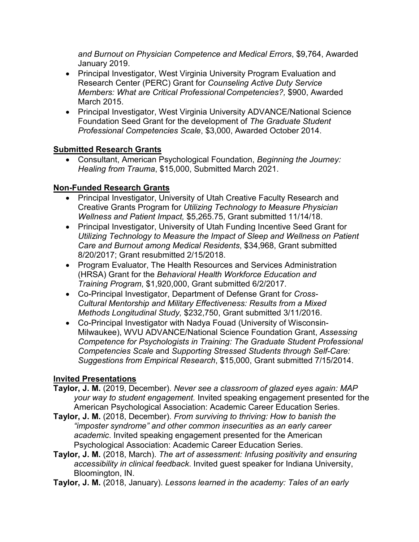*and Burnout on Physician Competence and Medical Errors*, \$9,764, Awarded January 2019.

- Principal Investigator, West Virginia University Program Evaluation and Research Center (PERC) Grant for *Counseling Active Duty Service Members: What are Critical Professional Competencies?,* \$900, Awarded March 2015.
- Principal Investigator, West Virginia University ADVANCE/National Science Foundation Seed Grant for the development of *The Graduate Student Professional Competencies Scale*, \$3,000, Awarded October 2014.

# **Submitted Research Grants**

• Consultant, American Psychological Foundation, *Beginning the Journey: Healing from Trauma*, \$15,000, Submitted March 2021.

# **Non-Funded Research Grants**

- Principal Investigator, University of Utah Creative Faculty Research and Creative Grants Program for *Utilizing Technology to Measure Physician Wellness and Patient Impact,* \$5,265.75, Grant submitted 11/14/18.
- Principal Investigator, University of Utah Funding Incentive Seed Grant for *Utilizing Technology to Measure the Impact of Sleep and Wellness on Patient Care and Burnout among Medical Residents*, \$34,968, Grant submitted 8/20/2017; Grant resubmitted 2/15/2018.
- Program Evaluator, The Health Resources and Services Administration (HRSA) Grant for the *Behavioral Health Workforce Education and Training Program*, \$1,920,000, Grant submitted 6/2/2017.
- Co-Principal Investigator, Department of Defense Grant for *Cross-Cultural Mentorship and Military Effectiveness: Results from a Mixed Methods Longitudinal Study,* \$232,750, Grant submitted 3/11/2016.
- Co-Principal Investigator with Nadya Fouad (University of Wisconsin-Milwaukee), WVU ADVANCE/National Science Foundation Grant, *Assessing Competence for Psychologists in Training: The Graduate Student Professional Competencies Scale* and *Supporting Stressed Students through Self-Care: Suggestions from Empirical Research*, \$15,000, Grant submitted 7/15/2014.

# **Invited Presentations**

- **Taylor, J. M.** (2019, December). *Never see a classroom of glazed eyes again: MAP your way to student engagement.* Invited speaking engagement presented for the American Psychological Association: Academic Career Education Series.
- **Taylor, J. M.** (2018, December). *From surviving to thriving: How to banish the "imposter syndrome" and other common insecurities as an early career academic*. Invited speaking engagement presented for the American Psychological Association: Academic Career Education Series.
- **Taylor, J. M.** (2018, March). *The art of assessment: Infusing positivity and ensuring accessibility in clinical feedback*. Invited guest speaker for Indiana University, Bloomington, IN.
- **Taylor, J. M.** (2018, January). *Lessons learned in the academy: Tales of an early*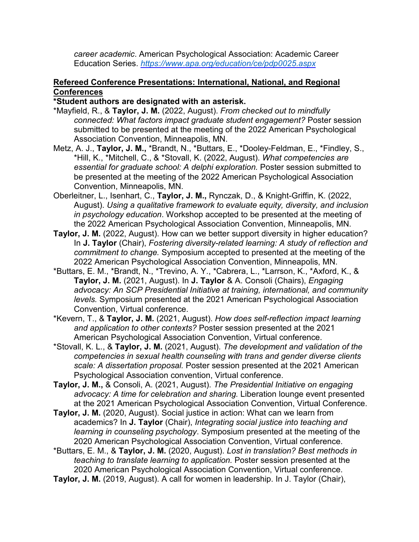*career academic*. American Psychological Association: Academic Career Education Series. *<https://www.apa.org/education/ce/pdp0025.aspx>*

#### **Refereed Conference Presentations: International, National, and Regional Conferences**

#### **\*Student authors are designated with an asterisk.**

- \*Mayfield, R., & **Taylor, J. M.** (2022, August). *From checked out to mindfully connected: What factors impact graduate student engagement?* Poster session submitted to be presented at the meeting of the 2022 American Psychological Association Convention, Minneapolis, MN.
- Metz, A. J., **Taylor, J. M.,** \*Brandt, N., \*Buttars, E., \*Dooley-Feldman, E., \*Findley, S., \*Hill, K., \*Mitchell, C., & \*Stovall, K. (2022, August). *What competencies are essential for graduate school: A delphi exploration.* Poster session submitted to be presented at the meeting of the 2022 American Psychological Association Convention, Minneapolis, MN.
- Oberleitner, L., Isenhart, C., **Taylor, J. M.,** Rynczak, D., & Knight-Griffin, K. (2022, August). *Using a qualitative framework to evaluate equity, diversity, and inclusion in psychology education*. Workshop accepted to be presented at the meeting of the 2022 American Psychological Association Convention, Minneapolis, MN.
- **Taylor, J. M.** (2022, August). How can we better support diversity in higher education? In **J. Taylor** (Chair), *Fostering diversity-related learning: A study of reflection and commitment to change.* Symposium accepted to presented at the meeting of the 2022 American Psychological Association Convention, Minneapolis, MN.
- \*Buttars, E. M., \*Brandt, N., \*Trevino, A. Y., \*Cabrera, L., \*Larrson, K., \*Axford, K., & **Taylor, J. M.** (2021, August). In **J. Taylor** & A. Consoli (Chairs), *Engaging advocacy: An SCP Presidential Initiative at training, international, and community levels.* Symposium presented at the 2021 American Psychological Association Convention, Virtual conference.
- \*Kevern, T., & **Taylor, J. M.** (2021, August). *How does self-reflection impact learning and application to other contexts?* Poster session presented at the 2021 American Psychological Association Convention, Virtual conference.
- \*Stovall, K. L., & **Taylor, J. M.** (2021, August). *The development and validation of the competencies in sexual health counseling with trans and gender diverse clients scale: A dissertation proposal.* Poster session presented at the 2021 American Psychological Association convention, Virtual conference.
- **Taylor, J. M.,** & Consoli, A. (2021, August). *The Presidential Initiative on engaging advocacy: A time for celebration and sharing.* Liberation lounge event presented at the 2021 American Psychological Association Convention, Virtual Conference.
- **Taylor, J. M.** (2020, August). Social justice in action: What can we learn from academics? In **J. Taylor** (Chair), *Integrating social justice into teaching and learning in counseling psychology*. Symposium presented at the meeting of the 2020 American Psychological Association Convention, Virtual conference.
- \*Buttars, E. M., & **Taylor, J. M.** (2020, August). *Lost in translation? Best methods in teaching to translate learning to application.* Poster session presented at the 2020 American Psychological Association Convention, Virtual conference.
- **Taylor, J. M.** (2019, August). A call for women in leadership. In J. Taylor (Chair),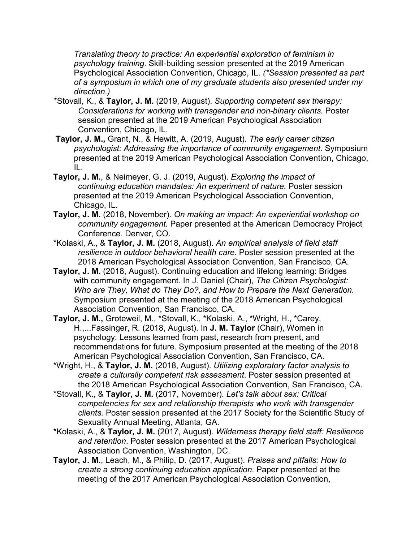*Translating theory to practice: An experiential exploration of feminism in psychology training.* Skill-building session presented at the 2019 American Psychological Association Convention, Chicago, IL. *(\*Session presented as part of a symposium in which one of my graduate students also presented under my direction.)*

- \*Stovall, K., & **Taylor, J. M.** (2019, August). *Supporting competent sex therapy: Considerations for working with transgender and non-binary clients.* Poster session presented at the 2019 American Psychological Association Convention, Chicago, IL.
- **Taylor, J. M.,** Grant, N., & Hewitt, A. (2019, August). *The early career citizen psychologist: Addressing the importance of community engagement.* Symposium presented at the 2019 American Psychological Association Convention, Chicago, IL.
- **Taylor, J. M.**, & Neimeyer, G. J. (2019, August). *Exploring the impact of continuing education mandates: An experiment of nature.* Poster session presented at the 2019 American Psychological Association Convention, Chicago, IL.
- **Taylor, J. M.** (2018, November). *On making an impact: An experiential workshop on community engagement.* Paper presented at the American Democracy Project Conference. Denver, CO.
- \*Kolaski, A., & **Taylor, J. M.** (2018, August). *An empirical analysis of field staff resilience in outdoor behavioral health care.* Poster session presented at the 2018 American Psychological Association Convention, San Francisco, CA.
- **Taylor, J. M.** (2018, August). Continuing education and lifelong learning: Bridges with community engagement. In J. Daniel (Chair), *The Citizen Psychologist: Who are They, What do They Do?, and How to Prepare the Next Generation.* Symposium presented at the meeting of the 2018 American Psychological Association Convention, San Francisco, CA.
- **Taylor, J. M.,** Groteweil, M., \*Stovall, K., \*Kolaski, A., \*Wright, H., \*Carey, H.,...Fassinger, R. (2018, August). In **J. M. Taylor** (Chair), Women in psychology: Lessons learned from past, research from present, and recommendations for future. Symposium presented at the meeting of the 2018 American Psychological Association Convention, San Francisco, CA.
- \*Wright, H., & **Taylor, J. M.** (2018, August). *Utilizing exploratory factor analysis to create a culturally competent risk assessment*. Poster session presented at the 2018 American Psychological Association Convention, San Francisco, CA.
- \*Stovall, K., & **Taylor, J. M.** (2017, November). *Let's talk about sex: Critical competencies for sex and relationship therapists who work with transgender clients.* Poster session presented at the 2017 Society for the Scientific Study of Sexuality Annual Meeting, Atlanta, GA.
- \*Kolaski, A., & **Taylor, J. M.** (2017, August). *Wilderness therapy field staff: Resilience and retention*. Poster session presented at the 2017 American Psychological Association Convention, Washington, DC.
- **Taylor, J. M.**, Leach, M., & Philip, D. (2017, August). *Praises and pitfalls: How to create a strong continuing education application.* Paper presented at the meeting of the 2017 American Psychological Association Convention,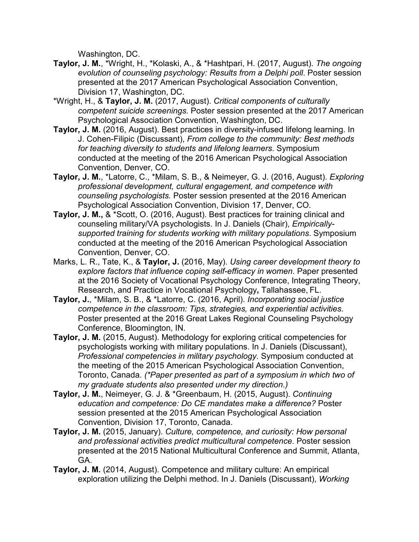Washington, DC.

- **Taylor, J. M.**, \*Wright, H., \*Kolaski, A., & \*Hashtpari, H. (2017, August). *The ongoing evolution of counseling psychology: Results from a Delphi poll*. Poster session presented at the 2017 American Psychological Association Convention, Division 17, Washington, DC.
- \*Wright, H., & **Taylor, J. M.** (2017, August). *Critical components of culturally competent suicide screenings*. Poster session presented at the 2017 American Psychological Association Convention, Washington, DC.
- **Taylor, J. M.** (2016, August). Best practices in diversity-infused lifelong learning. In J. Cohen-Filipic (Discussant), *From college to the community: Best methods for teaching diversity to students and lifelong learners*. Symposium conducted at the meeting of the 2016 American Psychological Association Convention, Denver, CO.
- **Taylor, J. M.**, \*Latorre, C., \*Milam, S. B., & Neimeyer, G. J. (2016, August). *Exploring professional development, cultural engagement, and competence with counseling psychologists.* Poster session presented at the 2016 American Psychological Association Convention, Division 17, Denver, CO.
- **Taylor, J. M.,** & \*Scott, O. (2016, August). Best practices for training clinical and counseling military/VA psychologists. In J. Daniels (Chair), *Empiricallysupported training for students working with military populations*. Symposium conducted at the meeting of the 2016 American Psychological Association Convention, Denver, CO.
- Marks, L. R., Tate, K., & **Taylor, J.** (2016, May). *Using career development theory to explore factors that influence coping self-efficacy in women*. Paper presented at the 2016 Society of Vocational Psychology Conference, Integrating Theory, Research, and Practice in Vocational Psychology**,** Tallahassee, FL.
- **Taylor, J.**, \*Milam, S. B., & \*Latorre, C. (2016, April). *Incorporating social justice competence in the classroom: Tips, strategies, and experiential activities.*  Poster presented at the 2016 Great Lakes Regional Counseling Psychology Conference, Bloomington, IN.
- **Taylor, J. M.** (2015, August). Methodology for exploring critical competencies for psychologists working with military populations. In J. Daniels (Discussant), *Professional competencies in military psychology.* Symposium conducted at the meeting of the 2015 American Psychological Association Convention, Toronto, Canada. *(\*Paper presented as part of a symposium in which two of my graduate students also presented under my direction.)*
- **Taylor, J. M.**, Neimeyer, G. J. & \*Greenbaum, H. (2015, August). *Continuing education and competence: Do CE mandates make a difference?* Poster session presented at the 2015 American Psychological Association Convention, Division 17, Toronto, Canada.
- **Taylor, J. M.** (2015, January). *Culture, competence, and curiosity: How personal and professional activities predict multicultural competence*. Poster session presented at the 2015 National Multicultural Conference and Summit, Atlanta, GA.
- **Taylor, J. M.** (2014, August). Competence and military culture: An empirical exploration utilizing the Delphi method. In J. Daniels (Discussant), *Working*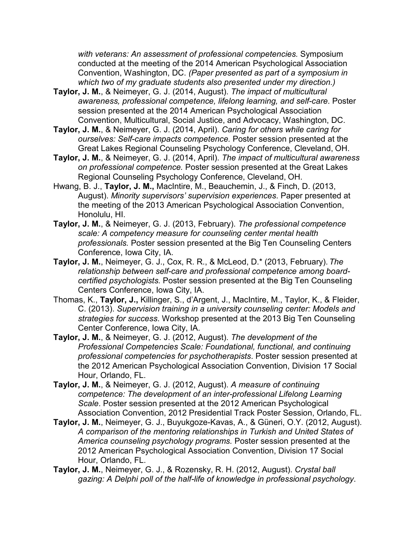*with veterans: An assessment of professional competencies.* Symposium conducted at the meeting of the 2014 American Psychological Association Convention, Washington, DC. *(Paper presented as part of a symposium in which two of my graduate students also presented under my direction.)*

- **Taylor, J. M.**, & Neimeyer, G. J. (2014, August). *The impact of multicultural awareness, professional competence, lifelong learning, and self-care*. Poster session presented at the 2014 American Psychological Association Convention, Multicultural, Social Justice, and Advocacy, Washington, DC.
- **Taylor, J. M.**, & Neimeyer, G. J. (2014, April). *Caring for others while caring for ourselves: Self-care impacts competence.* Poster session presented at the Great Lakes Regional Counseling Psychology Conference, Cleveland, OH.
- **Taylor, J. M.**, & Neimeyer, G. J. (2014, April). *The impact of multicultural awareness on professional competence.* Poster session presented at the Great Lakes Regional Counseling Psychology Conference, Cleveland, OH.
- Hwang, B. J., **Taylor, J. M.,** MacIntire, M., Beauchemin, J., & Finch, D. (2013, August). *Minority supervisors' supervision experiences*. Paper presented at the meeting of the 2013 American Psychological Association Convention, Honolulu, HI.
- **Taylor, J. M.**, & Neimeyer, G. J. (2013, February). *The professional competence scale: A competency measure for counseling center mental health professionals.* Poster session presented at the Big Ten Counseling Centers Conference, Iowa City, IA.
- **Taylor, J. M.**, Neimeyer, G. J., Cox, R. R., & McLeod, D.\* (2013, February).*The relationship between self-care and professional competence among boardcertified psychologists.* Poster session presented at the Big Ten Counseling Centers Conference, Iowa City, IA.
- Thomas, K., **Taylor, J.,** Killinger, S., d'Argent, J., MacIntire, M., Taylor, K., & Fleider, C. (2013). *Supervision training in a university counseling center: Models and strategies for success*. Workshop presented at the 2013 Big Ten Counseling Center Conference, Iowa City, IA.
- **Taylor, J. M.**, & Neimeyer, G. J. (2012, August). *The development of the Professional Competencies Scale: Foundational, functional, and continuing professional competencies for psychotherapists*. Poster session presented at the 2012 American Psychological Association Convention, Division 17 Social Hour, Orlando, FL.
- **Taylor, J. M.**, & Neimeyer, G. J. (2012, August). *A measure of continuing competence: The development of an inter-professional Lifelong Learning Scale*. Poster session presented at the 2012 American Psychological Association Convention, 2012 Presidential Track Poster Session, Orlando, FL.
- **Taylor, J. M.**, Neimeyer, G. J., Buyukgoze-Kavas, A., & Güneri, O.Y. (2012, August). *A comparison of the mentoring relationships in Turkish and United States of America counseling psychology programs.* Poster session presented at the 2012 American Psychological Association Convention, Division 17 Social Hour, Orlando, FL.
- **Taylor, J. M.**, Neimeyer, G. J., & Rozensky, R. H. (2012, August). *Crystal ball gazing: A Delphi poll of the half-life of knowledge in professional psychology*.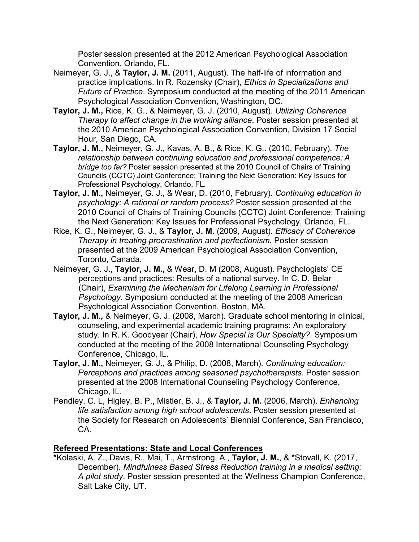Poster session presented at the 2012 American Psychological Association Convention, Orlando, FL.

- Neimeyer, G. J., & **Taylor, J. M.** (2011, August). The half-life of information and practice implications. In R. Rozensky (Chair), *Ethics in Specializations and Future of Practice*. Symposium conducted at the meeting of the 2011 American Psychological Association Convention, Washington, DC.
- **Taylor, J. M.,** Rice, K. G., & Neimeyer, G. J. (2010, August). *Utilizing Coherence Therapy to affect change in the working alliance*. Poster session presented at the 2010 American Psychological Association Convention, Division 17 Social Hour, San Diego, CA.
- **Taylor, J. M.,** Neimeyer, G. J., Kavas, A. B., & Rice, K. G.. (2010, February). *The relationship between continuing education and professional competence: A bridge too far?* Poster session presented at the 2010 Council of Chairs of Training Councils (CCTC) Joint Conference: Training the Next Generation: Key Issues for Professional Psychology, Orlando, FL.
- **Taylor, J. M.,** Neimeyer, G. J., & Wear, D. (2010, February). *Continuing education in psychology: A rational or random process?* Poster session presented at the 2010 Council of Chairs of Training Councils (CCTC) Joint Conference: Training the Next Generation: Key Issues for Professional Psychology, Orlando, FL.
- Rice, K. G., Neimeyer, G. J., & **Taylor, J. M.** (2009, August). *Efficacy of Coherence Therapy in treating procrastination and perfectionism.* Poster session presented at the 2009 American Psychological Association Convention, Toronto, Canada.
- Neimeyer, G. J., **Taylor, J. M.,** & Wear, D. M (2008, August). Psychologists' CE perceptions and practices: Results of a national survey. In C. D. Belar (Chair), *Examining the Mechanism for Lifelong Learning in Professional Psychology.* Symposium conducted at the meeting of the 2008 American Psychological Association Convention, Boston, MA.
- **Taylor, J. M.,** & Neimeyer, G. J. (2008, March). Graduate school mentoring in clinical, counseling, and experimental academic training programs: An exploratory study. In R. K. Goodyear (Chair), *How Special is Our Specialty?*. Symposium conducted at the meeting of the 2008 International Counseling Psychology Conference, Chicago, IL.
- **Taylor, J. M.,** Neimeyer, G. J., & Philip, D. (2008, March). *Continuing education: Perceptions and practices among seasoned psychotherapists.* Poster session presented at the 2008 International Counseling Psychology Conference, Chicago, IL.
- Pendley, C. L, Higley, B. P., Mistler, B. J., & **Taylor, J. M.** (2006, March). *Enhancing life satisfaction among high school adolescents*. Poster session presented at the Society for Research on Adolescents' Biennial Conference, San Francisco, CA.

## **Refereed Presentations: State and Local Conferences**

\*Kolaski, A. Z., Davis, R., Mai, T., Armstrong, A., **Taylor, J. M.**, & \*Stovall, K. (2017, December). *Mindfulness Based Stress Reduction training in a medical setting: A pilot study*. Poster session presented at the Wellness Champion Conference, Salt Lake City, UT.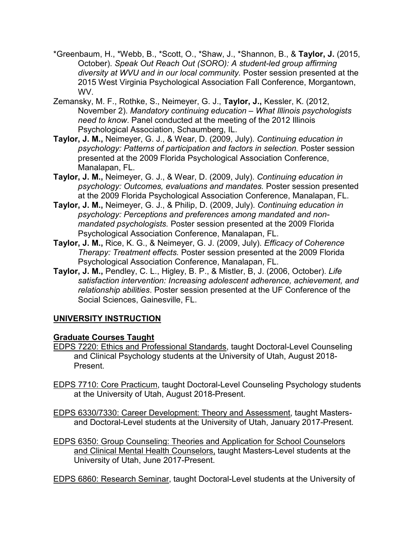- \*Greenbaum, H., \*Webb, B., \*Scott, O., \*Shaw, J., \*Shannon, B., & **Taylor, J.** (2015, October). *Speak Out Reach Out (SORO): A student-led group affirming diversity at WVU and in our local community.* Poster session presented at the 2015 West Virginia Psychological Association Fall Conference, Morgantown, WV.
- Zemansky, M. F., Rothke, S., Neimeyer, G. J., **Taylor, J.,** Kessler, K. (2012, November 2). *Mandatory continuing education – What Illinois psychologists need to know*. Panel conducted at the meeting of the 2012 Illinois Psychological Association, Schaumberg, IL.
- **Taylor, J. M.,** Neimeyer, G. J., & Wear, D. (2009, July). *Continuing education in psychology: Patterns of participation and factors in selection.* Poster session presented at the 2009 Florida Psychological Association Conference, Manalapan, FL.
- **Taylor, J. M.,** Neimeyer, G. J., & Wear, D. (2009, July). *Continuing education in psychology: Outcomes, evaluations and mandates.* Poster session presented at the 2009 Florida Psychological Association Conference, Manalapan, FL.
- **Taylor, J. M.,** Neimeyer, G. J., & Philip, D. (2009, July). *Continuing education in psychology: Perceptions and preferences among mandated and nonmandated psychologists.* Poster session presented at the 2009 Florida Psychological Association Conference, Manalapan, FL.
- **Taylor, J. M.,** Rice, K. G., & Neimeyer, G. J. (2009, July). *Efficacy of Coherence Therapy: Treatment effects.* Poster session presented at the 2009 Florida Psychological Association Conference, Manalapan, FL.
- **Taylor, J. M.,** Pendley, C. L., Higley, B. P., & Mistler, B, J. (2006, October). *Life satisfaction intervention: Increasing adolescent adherence, achievement, and relationship abilities*. Poster session presented at the UF Conference of the Social Sciences, Gainesville, FL.

# **UNIVERSITY INSTRUCTION**

## **Graduate Courses Taught**

- EDPS 7220: Ethics and Professional Standards, taught Doctoral-Level Counseling and Clinical Psychology students at the University of Utah, August 2018- Present.
- EDPS 7710: Core Practicum, taught Doctoral-Level Counseling Psychology students at the University of Utah, August 2018-Present.
- EDPS 6330/7330: Career Development: Theory and Assessment, taught Mastersand Doctoral-Level students at the University of Utah, January 2017-Present.
- EDPS 6350: Group Counseling: Theories and Application for School Counselors and Clinical Mental Health Counselors, taught Masters-Level students at the University of Utah, June 2017-Present.

EDPS 6860: Research Seminar, taught Doctoral-Level students at the University of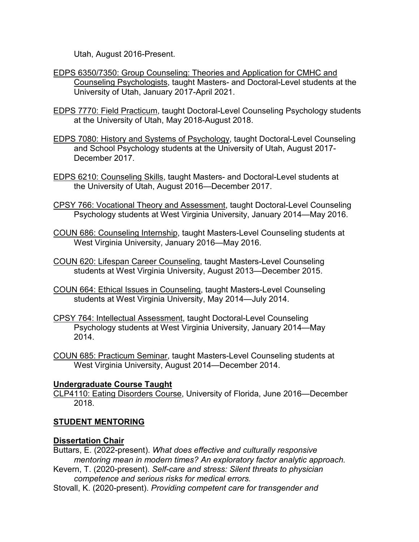Utah, August 2016-Present.

- EDPS 6350/7350: Group Counseling: Theories and Application for CMHC and Counseling Psychologists, taught Masters- and Doctoral-Level students at the University of Utah, January 2017-April 2021.
- EDPS 7770: Field Practicum, taught Doctoral-Level Counseling Psychology students at the University of Utah, May 2018-August 2018.
- EDPS 7080: History and Systems of Psychology, taught Doctoral-Level Counseling and School Psychology students at the University of Utah, August 2017- December 2017.
- EDPS 6210: Counseling Skills, taught Masters- and Doctoral-Level students at the University of Utah, August 2016—December 2017.
- CPSY 766: Vocational Theory and Assessment, taught Doctoral-Level Counseling Psychology students at West Virginia University, January 2014—May 2016.
- COUN 686: Counseling Internship, taught Masters-Level Counseling students at West Virginia University, January 2016—May 2016.
- COUN 620: Lifespan Career Counseling, taught Masters-Level Counseling students at West Virginia University, August 2013—December 2015.
- COUN 664: Ethical Issues in Counseling, taught Masters-Level Counseling students at West Virginia University, May 2014—July 2014.
- CPSY 764: Intellectual Assessment, taught Doctoral-Level Counseling Psychology students at West Virginia University, January 2014—May 2014.
- COUN 685: Practicum Seminar, taught Masters-Level Counseling students at West Virginia University, August 2014—December 2014.

## **Undergraduate Course Taught**

CLP4110: Eating Disorders Course, University of Florida, June 2016—December 2018.

## **STUDENT MENTORING**

## **Dissertation Chair**

Buttars, E. (2022-present). *What does effective and culturally responsive mentoring mean in modern times? An exploratory factor analytic approach.*

Kevern, T. (2020-present). *Self-care and stress: Silent threats to physician competence and serious risks for medical errors.*

Stovall, K. (2020-present). *Providing competent care for transgender and*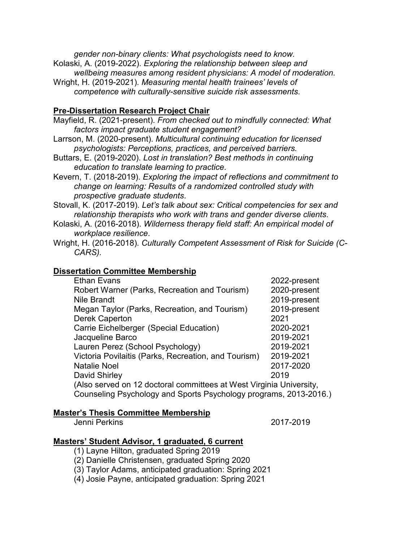*gender non-binary clients: What psychologists need to know.*  Kolaski, A. (2019-2022). *Exploring the relationship between sleep and wellbeing measures among resident physicians: A model of moderation.* Wright, H. (2019-2021). *Measuring mental health trainees' levels of* 

*competence with culturally-sensitive suicide risk assessments.*

#### **Pre-Dissertation Research Project Chair**

Mayfield, R. (2021-present). *From checked out to mindfully connected: What factors impact graduate student engagement?*

Larrson, M. (2020-present). *Multicultural continuing education for licensed psychologists: Perceptions, practices, and perceived barriers.*

Buttars, E. (2019-2020). *Lost in translation? Best methods in continuing education to translate learning to practice*.

Kevern, T. (2018-2019). *Exploring the impact of reflections and commitment to change on learning: Results of a randomized controlled study with prospective graduate students*.

Stovall, K. (2017-2019). *Let's talk about sex: Critical competencies for sex and relationship therapists who work with trans and gender diverse clients*.

Kolaski, A. (2016-2018). *Wilderness therapy field staff: An empirical model of workplace resilience*.

Wright, H. (2016-2018). *Culturally Competent Assessment of Risk for Suicide (C-CARS).*

#### **Dissertation Committee Membership**

| <b>Ethan Evans</b>                                                  | 2022-present |  |
|---------------------------------------------------------------------|--------------|--|
| Robert Warner (Parks, Recreation and Tourism)                       | 2020-present |  |
| <b>Nile Brandt</b>                                                  | 2019-present |  |
| Megan Taylor (Parks, Recreation, and Tourism)                       | 2019-present |  |
| <b>Derek Caperton</b>                                               | 2021         |  |
| Carrie Eichelberger (Special Education)                             | 2020-2021    |  |
| Jacqueline Barco                                                    | 2019-2021    |  |
| Lauren Perez (School Psychology)                                    | 2019-2021    |  |
| Victoria Povilaitis (Parks, Recreation, and Tourism)                | 2019-2021    |  |
| <b>Natalie Noel</b>                                                 | 2017-2020    |  |
| David Shirley                                                       | 2019         |  |
| (Also served on 12 doctoral committees at West Virginia University, |              |  |
| Counseling Psychology and Sports Psychology programs, 2013-2016.)   |              |  |
|                                                                     |              |  |

#### **Master's Thesis Committee Membership**

Jenni Perkins 2017-2019

#### **Masters' Student Advisor, 1 graduated, 6 current**

(1) Layne Hilton, graduated Spring 2019

(2) Danielle Christensen, graduated Spring 2020

(3) Taylor Adams, anticipated graduation: Spring 2021

(4) Josie Payne, anticipated graduation: Spring 2021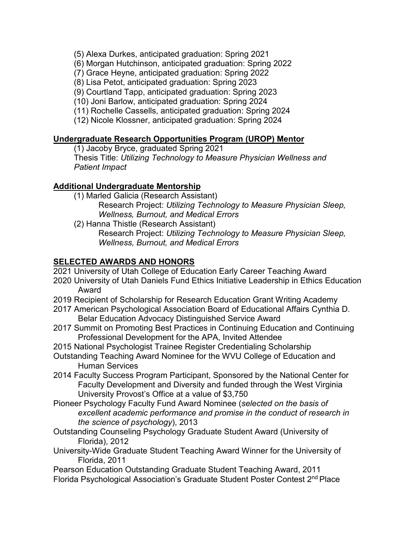(5) Alexa Durkes, anticipated graduation: Spring 2021

(6) Morgan Hutchinson, anticipated graduation: Spring 2022

(7) Grace Heyne, anticipated graduation: Spring 2022

(8) Lisa Petot, anticipated graduation: Spring 2023

(9) Courtland Tapp, anticipated graduation: Spring 2023

(10) Joni Barlow, anticipated graduation: Spring 2024

(11) Rochelle Cassells, anticipated graduation: Spring 2024

(12) Nicole Klossner, anticipated graduation: Spring 2024

#### **Undergraduate Research Opportunities Program (UROP) Mentor**

(1) Jacoby Bryce, graduated Spring 2021

Thesis Title: *Utilizing Technology to Measure Physician Wellness and Patient Impact*

## **Additional Undergraduate Mentorship**

- (1) Marled Galicia (Research Assistant) Research Project: *Utilizing Technology to Measure Physician Sleep, Wellness, Burnout, and Medical Errors*
- (2) Hanna Thistle (Research Assistant) Research Project: *Utilizing Technology to Measure Physician Sleep, Wellness, Burnout, and Medical Errors*

## **SELECTED AWARDS AND HONORS**

- 2021 University of Utah College of Education Early Career Teaching Award
- 2020 University of Utah Daniels Fund Ethics Initiative Leadership in Ethics Education Award
- 2019 Recipient of Scholarship for Research Education Grant Writing Academy
- 2017 American Psychological Association Board of Educational Affairs Cynthia D. Belar Education Advocacy Distinguished Service Award
- 2017 Summit on Promoting Best Practices in Continuing Education and Continuing Professional Development for the APA, Invited Attendee
- 2015 National Psychologist Trainee Register Credentialing Scholarship
- Outstanding Teaching Award Nominee for the WVU College of Education and Human Services
- 2014 Faculty Success Program Participant, Sponsored by the National Center for Faculty Development and Diversity and funded through the West Virginia University Provost's Office at a value of \$3,750
- Pioneer Psychology Faculty Fund Award Nominee (*selected on the basis of excellent academic performance and promise in the conduct of research in the science of psychology*), 2013
- Outstanding Counseling Psychology Graduate Student Award (University of Florida), 2012
- University-Wide Graduate Student Teaching Award Winner for the University of Florida, 2011

Pearson Education Outstanding Graduate Student Teaching Award, 2011

Florida Psychological Association's Graduate Student Poster Contest 2nd Place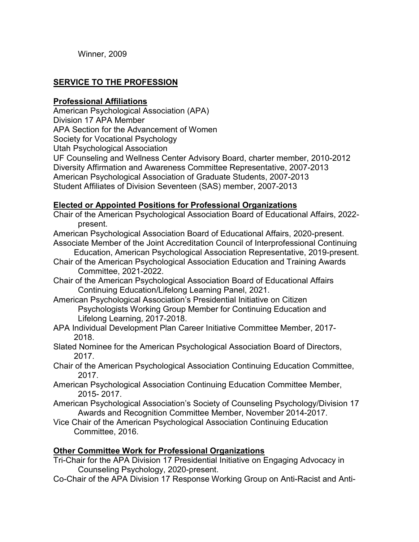Winner, 2009

# **SERVICE TO THE PROFESSION**

#### **Professional Affiliations**

American Psychological Association (APA)

Division 17 APA Member

APA Section for the Advancement of Women

Society for Vocational Psychology

Utah Psychological Association

UF Counseling and Wellness Center Advisory Board, charter member, 2010-2012 Diversity Affirmation and Awareness Committee Representative, 2007-2013 American Psychological Association of Graduate Students, 2007-2013 Student Affiliates of Division Seventeen (SAS) member, 2007-2013

# **Elected or Appointed Positions for Professional Organizations**

Chair of the American Psychological Association Board of Educational Affairs, 2022 present.

American Psychological Association Board of Educational Affairs, 2020-present. Associate Member of the Joint Accreditation Council of Interprofessional Continuing

- Education, American Psychological Association Representative, 2019-present.
- Chair of the American Psychological Association Education and Training Awards Committee, 2021-2022.
- Chair of the American Psychological Association Board of Educational Affairs Continuing Education/Lifelong Learning Panel, 2021.
- American Psychological Association's Presidential Initiative on Citizen Psychologists Working Group Member for Continuing Education and Lifelong Learning, 2017-2018.
- APA Individual Development Plan Career Initiative Committee Member, 2017- 2018.
- Slated Nominee for the American Psychological Association Board of Directors, 2017.
- Chair of the American Psychological Association Continuing Education Committee, 2017.
- American Psychological Association Continuing Education Committee Member, 2015- 2017.
- American Psychological Association's Society of Counseling Psychology/Division 17 Awards and Recognition Committee Member, November 2014-2017.
- Vice Chair of the American Psychological Association Continuing Education Committee, 2016.

## **Other Committee Work for Professional Organizations**

- Tri-Chair for the APA Division 17 Presidential Initiative on Engaging Advocacy in Counseling Psychology, 2020-present.
- Co-Chair of the APA Division 17 Response Working Group on Anti-Racist and Anti-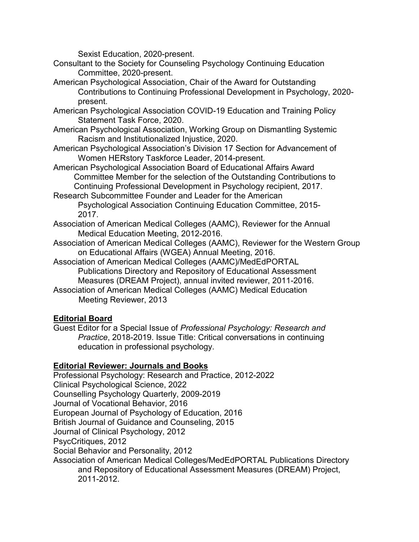Sexist Education, 2020-present.

- Consultant to the Society for Counseling Psychology Continuing Education Committee, 2020-present.
- American Psychological Association, Chair of the Award for Outstanding Contributions to Continuing Professional Development in Psychology, 2020 present.
- American Psychological Association COVID-19 Education and Training Policy Statement Task Force, 2020.
- American Psychological Association, Working Group on Dismantling Systemic Racism and Institutionalized Injustice, 2020.
- American Psychological Association's Division 17 Section for Advancement of Women HERstory Taskforce Leader, 2014-present.
- American Psychological Association Board of Educational Affairs Award Committee Member for the selection of the Outstanding Contributions to Continuing Professional Development in Psychology recipient, 2017.
- Research Subcommittee Founder and Leader for the American Psychological Association Continuing Education Committee, 2015- 2017.
- Association of American Medical Colleges (AAMC), Reviewer for the Annual Medical Education Meeting, 2012-2016.
- Association of American Medical Colleges (AAMC), Reviewer for the Western Group on Educational Affairs (WGEA) Annual Meeting, 2016.
- Association of American Medical Colleges (AAMC)/MedEdPORTAL Publications Directory and Repository of Educational Assessment Measures (DREAM Project), annual invited reviewer, 2011-2016.
- Association of American Medical Colleges (AAMC) Medical Education Meeting Reviewer, 2013

# **Editorial Board**

Guest Editor for a Special Issue of *Professional Psychology: Research and Practice*, 2018-2019. Issue Title: Critical conversations in continuing education in professional psychology.

# **Editorial Reviewer: Journals and Books**

Professional Psychology: Research and Practice, 2012-2022 Clinical Psychological Science, 2022 Counselling Psychology Quarterly, 2009-2019 Journal of Vocational Behavior, 2016 European Journal of Psychology of Education, 2016 British Journal of Guidance and Counseling, 2015 Journal of Clinical Psychology, 2012 PsycCritiques, 2012 Social Behavior and Personality, 2012 Association of American Medical Colleges/MedEdPORTAL Publications Directory and Repository of Educational Assessment Measures (DREAM) Project, 2011-2012.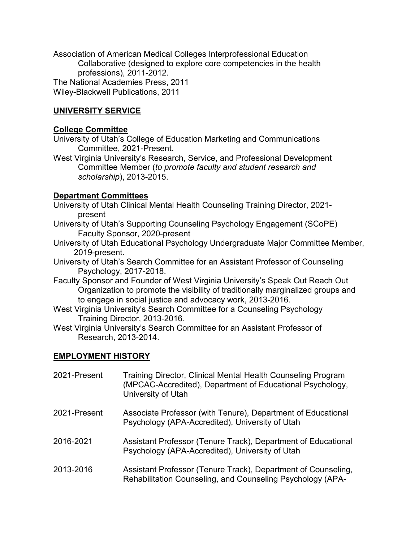Association of American Medical Colleges Interprofessional Education Collaborative (designed to explore core competencies in the health professions), 2011-2012. The National Academies Press, 2011 Wiley-Blackwell Publications, 2011

# **UNIVERSITY SERVICE**

#### **College Committee**

University of Utah's College of Education Marketing and Communications Committee, 2021-Present.

West Virginia University's Research, Service, and Professional Development Committee Member (*to promote faculty and student research and scholarship*), 2013-2015.

#### **Department Committees**

University of Utah Clinical Mental Health Counseling Training Director, 2021 present

- University of Utah's Supporting Counseling Psychology Engagement (SCoPE) Faculty Sponsor, 2020-present
- University of Utah Educational Psychology Undergraduate Major Committee Member, 2019-present.
- University of Utah's Search Committee for an Assistant Professor of Counseling Psychology, 2017-2018.
- Faculty Sponsor and Founder of West Virginia University's Speak Out Reach Out Organization to promote the visibility of traditionally marginalized groups and to engage in social justice and advocacy work, 2013-2016.
- West Virginia University's Search Committee for a Counseling Psychology Training Director, 2013-2016.
- West Virginia University's Search Committee for an Assistant Professor of Research, 2013-2014.

## **EMPLOYMENT HISTORY**

| 2021-Present | Training Director, Clinical Mental Health Counseling Program<br>(MPCAC-Accredited), Department of Educational Psychology,<br>University of Utah |
|--------------|-------------------------------------------------------------------------------------------------------------------------------------------------|
| 2021-Present | Associate Professor (with Tenure), Department of Educational<br>Psychology (APA-Accredited), University of Utah                                 |
| 2016-2021    | Assistant Professor (Tenure Track), Department of Educational<br>Psychology (APA-Accredited), University of Utah                                |
| 2013-2016    | Assistant Professor (Tenure Track), Department of Counseling,<br>Rehabilitation Counseling, and Counseling Psychology (APA-                     |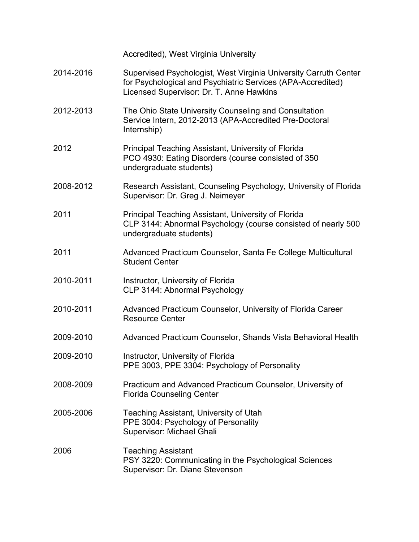|           | Accredited), West Virginia University                                                                                                                                       |
|-----------|-----------------------------------------------------------------------------------------------------------------------------------------------------------------------------|
| 2014-2016 | Supervised Psychologist, West Virginia University Carruth Center<br>for Psychological and Psychiatric Services (APA-Accredited)<br>Licensed Supervisor: Dr. T. Anne Hawkins |
| 2012-2013 | The Ohio State University Counseling and Consultation<br>Service Intern, 2012-2013 (APA-Accredited Pre-Doctoral<br>Internship)                                              |
| 2012      | Principal Teaching Assistant, University of Florida<br>PCO 4930: Eating Disorders (course consisted of 350<br>undergraduate students)                                       |
| 2008-2012 | Research Assistant, Counseling Psychology, University of Florida<br>Supervisor: Dr. Greg J. Neimeyer                                                                        |
| 2011      | Principal Teaching Assistant, University of Florida<br>CLP 3144: Abnormal Psychology (course consisted of nearly 500<br>undergraduate students)                             |
| 2011      | Advanced Practicum Counselor, Santa Fe College Multicultural<br><b>Student Center</b>                                                                                       |
| 2010-2011 | Instructor, University of Florida<br>CLP 3144: Abnormal Psychology                                                                                                          |
| 2010-2011 | Advanced Practicum Counselor, University of Florida Career<br><b>Resource Center</b>                                                                                        |
| 2009-2010 | Advanced Practicum Counselor, Shands Vista Behavioral Health                                                                                                                |
| 2009-2010 | Instructor, University of Florida<br>PPE 3003, PPE 3304: Psychology of Personality                                                                                          |
| 2008-2009 | Practicum and Advanced Practicum Counselor, University of<br><b>Florida Counseling Center</b>                                                                               |
| 2005-2006 | Teaching Assistant, University of Utah<br>PPE 3004: Psychology of Personality<br>Supervisor: Michael Ghali                                                                  |
| 2006      | <b>Teaching Assistant</b><br>PSY 3220: Communicating in the Psychological Sciences<br>Supervisor: Dr. Diane Stevenson                                                       |